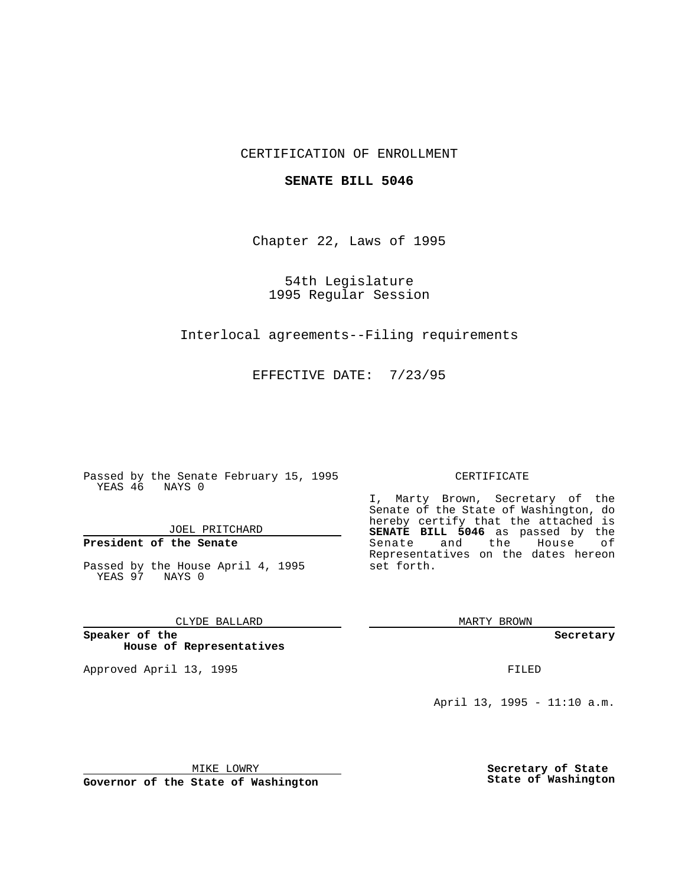# CERTIFICATION OF ENROLLMENT

## **SENATE BILL 5046**

Chapter 22, Laws of 1995

54th Legislature 1995 Regular Session

Interlocal agreements--Filing requirements

EFFECTIVE DATE: 7/23/95

Passed by the Senate February 15, 1995 YEAS 46 NAYS 0

JOEL PRITCHARD

# **President of the Senate**

Passed by the House April 4, 1995 YEAS 97 NAYS 0

CLYDE BALLARD

**Speaker of the House of Representatives**

Approved April 13, 1995 FILED

#### CERTIFICATE

I, Marty Brown, Secretary of the Senate of the State of Washington, do hereby certify that the attached is **SENATE BILL 5046** as passed by the Senate and the House of Representatives on the dates hereon set forth.

MARTY BROWN

**Secretary**

April 13, 1995 - 11:10 a.m.

MIKE LOWRY

**Governor of the State of Washington**

**Secretary of State State of Washington**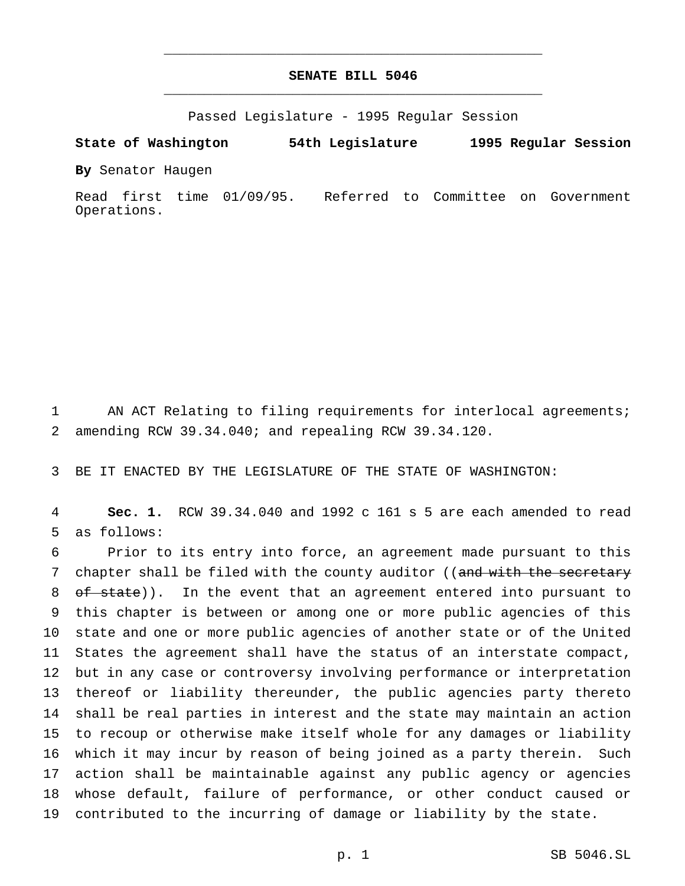# **SENATE BILL 5046** \_\_\_\_\_\_\_\_\_\_\_\_\_\_\_\_\_\_\_\_\_\_\_\_\_\_\_\_\_\_\_\_\_\_\_\_\_\_\_\_\_\_\_\_\_\_\_

\_\_\_\_\_\_\_\_\_\_\_\_\_\_\_\_\_\_\_\_\_\_\_\_\_\_\_\_\_\_\_\_\_\_\_\_\_\_\_\_\_\_\_\_\_\_\_

Passed Legislature - 1995 Regular Session

### **State of Washington 54th Legislature 1995 Regular Session**

**By** Senator Haugen

Read first time 01/09/95. Referred to Committee on Government Operations.

1 AN ACT Relating to filing requirements for interlocal agreements; 2 amending RCW 39.34.040; and repealing RCW 39.34.120.

3 BE IT ENACTED BY THE LEGISLATURE OF THE STATE OF WASHINGTON:

4 **Sec. 1.** RCW 39.34.040 and 1992 c 161 s 5 are each amended to read 5 as follows:

 Prior to its entry into force, an agreement made pursuant to this 7 chapter shall be filed with the county auditor ((and with the secretary 8 of state)). In the event that an agreement entered into pursuant to this chapter is between or among one or more public agencies of this state and one or more public agencies of another state or of the United States the agreement shall have the status of an interstate compact, but in any case or controversy involving performance or interpretation thereof or liability thereunder, the public agencies party thereto shall be real parties in interest and the state may maintain an action to recoup or otherwise make itself whole for any damages or liability which it may incur by reason of being joined as a party therein. Such action shall be maintainable against any public agency or agencies whose default, failure of performance, or other conduct caused or contributed to the incurring of damage or liability by the state.